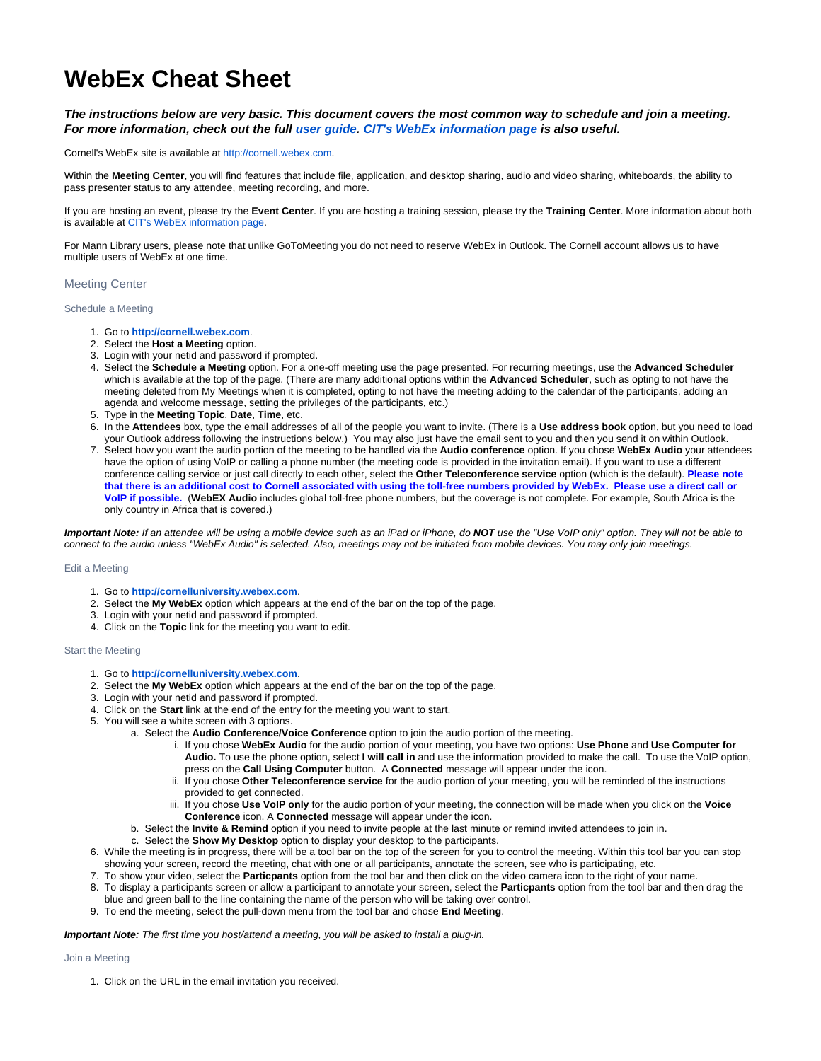# **WebEx Cheat Sheet**

# **The instructions below are very basic. This document covers the most common way to schedule and join a meeting. For more information, check out the full [user guide](https://cornelluniversity.webex.com/docs/T27LD/mc0805ld/en_US/man/wx_mc_host_ug.pdf). [CIT's WebEx information page](http://www.it.cornell.edu/services/webconferencing/about.cfm) is also useful.**

Cornell's WebEx site is available at <http://cornell.webex.com>.

Within the **Meeting Center**, you will find features that include file, application, and desktop sharing, audio and video sharing, whiteboards, the ability to pass presenter status to any attendee, meeting recording, and more.

If you are hosting an event, please try the **Event Center**. If you are hosting a training session, please try the **Training Center**. More information about both is available at [CIT's WebEx information page](http://www.it.cornell.edu/services/webconferencing/about.cfm).

For Mann Library users, please note that unlike GoToMeeting you do not need to reserve WebEx in Outlook. The Cornell account allows us to have multiple users of WebEx at one time.

## Meeting Center

### Schedule a Meeting

- 1. Go to **<http://cornell.webex.com>**.
- 2. Select the **Host a Meeting** option.
- 3. Login with your netid and password if prompted.
- 4. Select the **Schedule a Meeting** option. For a one-off meeting use the page presented. For recurring meetings, use the **Advanced Scheduler** which is available at the top of the page. (There are many additional options within the **Advanced Scheduler**, such as opting to not have the meeting deleted from My Meetings when it is completed, opting to not have the meeting adding to the calendar of the participants, adding an agenda and welcome message, setting the privileges of the participants, etc.)
- 5. Type in the **Meeting Topic**, **Date**, **Time**, etc.
- 6. In the **Attendees** box, type the email addresses of all of the people you want to invite. (There is a **Use address book** option, but you need to load your Outlook address following the instructions below.) You may also just have the email sent to you and then you send it on within Outlook.
- 7. Select how you want the audio portion of the meeting to be handled via the **Audio conference** option. If you chose **WebEx Audio** your attendees have the option of using VoIP or calling a phone number (the meeting code is provided in the invitation email). If you want to use a different conference calling service or just call directly to each other, select the **Other Teleconference service** option (which is the default). **Please note that there is an additional cost to Cornell associated with using the toll-free numbers provided by WebEx. Please use a direct call or VoIP if possible.** (**WebEX Audio** includes global toll-free phone numbers, but the coverage is not complete. For example, South Africa is the only country in Africa that is covered.)

**Important Note:** If an attendee will be using a mobile device such as an iPad or iPhone, do **NOT** use the "Use VoIP only" option. They will not be able to connect to the audio unless "WebEx Audio" is selected. Also, meetings may not be initiated from mobile devices. You may only join meetings.

#### Edit a Meeting

- 1. Go to **<http://cornelluniversity.webex.com>**.
- 2. Select the **My WebEx** option which appears at the end of the bar on the top of the page.
- 3. Login with your netid and password if prompted.
- 4. Click on the **Topic** link for the meeting you want to edit.

#### Start the Meeting

- 1. Go to **<http://cornelluniversity.webex.com>**.
- 2. Select the **My WebEx** option which appears at the end of the bar on the top of the page.
- 3. Login with your netid and password if prompted.
- 4. Click on the **Start** link at the end of the entry for the meeting you want to start.
- 5. You will see a white screen with 3 options.
	- a. Select the **Audio Conference/Voice Conference** option to join the audio portion of the meeting.
		- i. If you chose **WebEx Audio** for the audio portion of your meeting, you have two options: **Use Phone** and **Use Computer for Audio.** To use the phone option, select **I will call in** and use the information provided to make the call. To use the VoIP option, press on the **Call Using Computer** button. A **Connected** message will appear under the icon.
		- ii. If you chose **Other Teleconference service** for the audio portion of your meeting, you will be reminded of the instructions provided to get connected.
		- iii. If you chose **Use VoIP only** for the audio portion of your meeting, the connection will be made when you click on the **Voice Conference** icon. A **Connected** message will appear under the icon.
	- b. Select the **Invite & Remind** option if you need to invite people at the last minute or remind invited attendees to join in.
	- c. Select the **Show My Desktop** option to display your desktop to the participants.
- 6. While the meeting is in progress, there will be a tool bar on the top of the screen for you to control the meeting. Within this tool bar you can stop showing your screen, record the meeting, chat with one or all participants, annotate the screen, see who is participating, etc.
- 7. To show your video, select the **Particpants** option from the tool bar and then click on the video camera icon to the right of your name.
- 8. To display a participants screen or allow a participant to annotate your screen, select the **Particpants** option from the tool bar and then drag the blue and green ball to the line containing the name of the person who will be taking over control.
- 9. To end the meeting, select the pull-down menu from the tool bar and chose **End Meeting**.

**Important Note:** The first time you host/attend a meeting, you will be asked to install a plug-in.

#### Join a Meeting

1. Click on the URL in the email invitation you received.